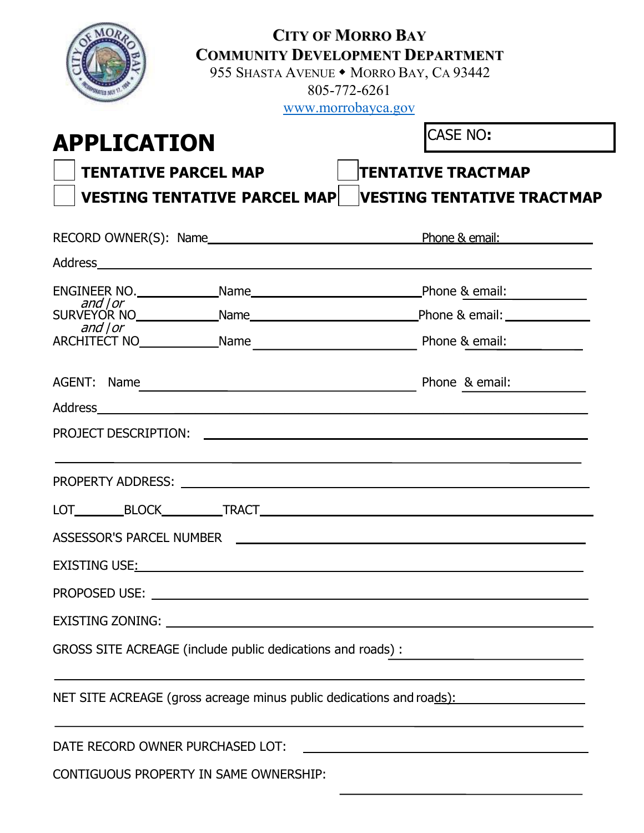|                                                                                                                                                                                                                                      | <b>CITY OF MORRO BAY</b><br><b>COMMUNITY DEVELOPMENT DEPARTMENT</b><br>955 SHASTA AVENUE • MORRO BAY, CA 93442<br>805-772-6261<br>www.morrobayca.gov |
|--------------------------------------------------------------------------------------------------------------------------------------------------------------------------------------------------------------------------------------|------------------------------------------------------------------------------------------------------------------------------------------------------|
| <b>APPLICATION</b>                                                                                                                                                                                                                   | CASE NO:                                                                                                                                             |
| <b>TENTATIVE PARCEL MAP</b>                                                                                                                                                                                                          | <b>TENTATIVE TRACTMAP</b>                                                                                                                            |
| <b>VESTING TENTATIVE PARCEL MAP</b>                                                                                                                                                                                                  | <b>IVESTING TENTATIVE TRACTMAP</b>                                                                                                                   |
|                                                                                                                                                                                                                                      |                                                                                                                                                      |
|                                                                                                                                                                                                                                      |                                                                                                                                                      |
| ENGINEER NO. Name Name Name Phone & email:                                                                                                                                                                                           |                                                                                                                                                      |
| and $ $ or                                                                                                                                                                                                                           |                                                                                                                                                      |
| ARCHITECT NO Name Name Phone & email:                                                                                                                                                                                                |                                                                                                                                                      |
| AGENT: Name Phone & email:                                                                                                                                                                                                           |                                                                                                                                                      |
| Address and the contract of the contract of the contract of the contract of the contract of the contract of the contract of the contract of the contract of the contract of the contract of the contract of the contract of th       |                                                                                                                                                      |
| PROJECT DESCRIPTION: THE RESERVED OF STRAIGHT AND THE RESERVED OF STRAIGHT AND THE RESERVED OF STRAIGHT AND THE STRAIGHT OF STRAIGHT AND THE STRAIGHT OF STRAIGHT AND THE STRAIGHT OF STRAIGHT AND THE STRAIGHT OF STRAIGHT AN       |                                                                                                                                                      |
| PROPERTY ADDRESS:                                                                                                                                                                                                                    |                                                                                                                                                      |
|                                                                                                                                                                                                                                      |                                                                                                                                                      |
| ASSESSOR'S PARCEL NUMBER <b>And Accepted ASSESSOR'S</b>                                                                                                                                                                              |                                                                                                                                                      |
| EXISTING USE <u>:</u> And the second second second second second second second second second second second second second second second second second second second second second second second second second second second second se |                                                                                                                                                      |
|                                                                                                                                                                                                                                      |                                                                                                                                                      |
|                                                                                                                                                                                                                                      |                                                                                                                                                      |
| GROSS SITE ACREAGE (include public dedications and roads):                                                                                                                                                                           |                                                                                                                                                      |
| NET SITE ACREAGE (gross acreage minus public dedications and roads):                                                                                                                                                                 | <u> 1989 - Johann Stoff, amerikansk politiker (* 1908)</u>                                                                                           |
|                                                                                                                                                                                                                                      |                                                                                                                                                      |
| CONTIGUOUS PROPERTY IN SAME OWNERSHIP:                                                                                                                                                                                               |                                                                                                                                                      |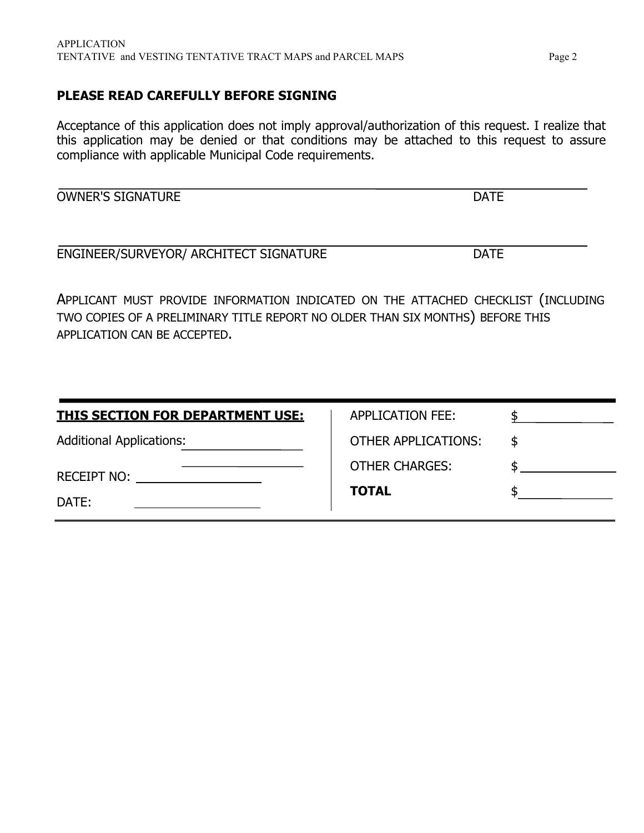### **PLEASE READ CAREFULLY BEFORE SIGNING**

Acceptance of this application does not imply approval/authorization of this request. I realize that this application may be denied or that conditions may be attached to this request to assure compliance with applicable Municipal Code requirements.

OWNER'S SIGNATURE DATE

ENGINEER/SURVEYOR/ ARCHITECT SIGNATURE DATE

APPLICANT MUST PROVIDE INFORMATION INDICATED ON THE ATTACHED CHECKLIST (INCLUDING TWO COPIES OF A PRELIMINARY TITLE REPORT NO OLDER THAN SIX MONTHS) BEFORE THIS APPLICATION CAN BE ACCEPTED.

| <b>THIS SECTION FOR DEPARTMENT USE:</b> | APPLICATION FEE:           |    |
|-----------------------------------------|----------------------------|----|
| <b>Additional Applications:</b>         | <b>OTHER APPLICATIONS:</b> | -S |
| <b>RECEIPT NO:</b>                      | <b>OTHER CHARGES:</b>      |    |
| DATE:                                   | <b>TOTAL</b>               |    |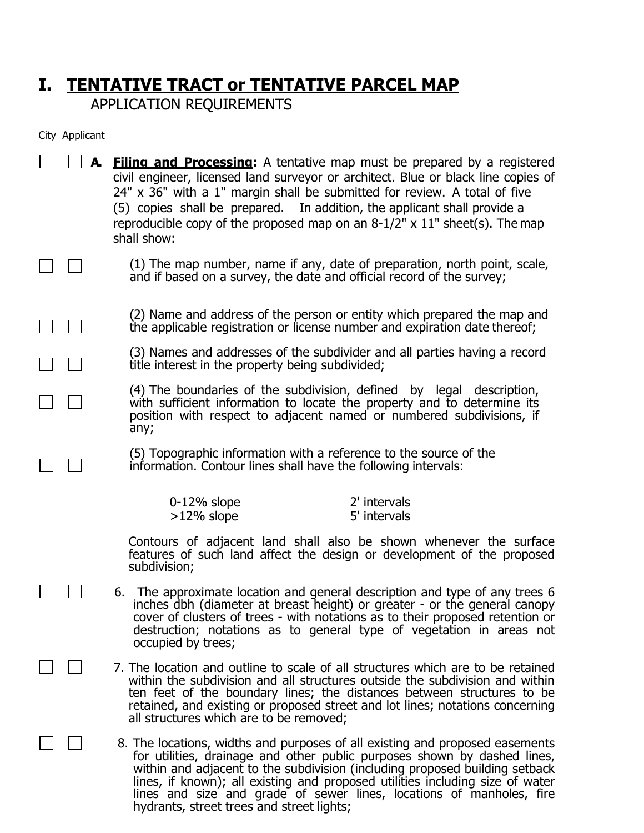# **I. TENTATIVE TRACT or TENTATIVE PARCEL MAP**

APPLICATION REQUIREMENTS

City Applicant

 $\Box$ 

 $\pm$  1

| $\vert \vert$     <b>A.</b> Filing and Processing: A tentative map must be prepared by a registered |
|-----------------------------------------------------------------------------------------------------|
| civil engineer, licensed land surveyor or architect. Blue or black line copies of                   |
| 24" x 36" with a 1" margin shall be submitted for review. A total of five                           |
| (5) copies shall be prepared. In addition, the applicant shall provide a                            |
| reproducible copy of the proposed map on an $8-1/2$ " x $11$ " sheet(s). The map<br>shall show:     |
|                                                                                                     |

(1) The map number, name if any, date of preparation, north point, scale, and if based on a survey, the date and official record of the survey;

(2) Name and address of the person or entity which prepared the map and the applicable registration or license number and expiration date thereof;

(3) Names and addresses of the subdivider and all parties having a record title interest in the property being subdivided;

(4) The boundaries of the subdivision, defined by legal description, with sufficient information to locate the property and to determine its position with respect to adjacent named or numbered subdivisions, if any;

(5) Topographic information with a reference to the source of the information. Contour lines shall have the following intervals:

| 0-12% slope   | 2' intervals |
|---------------|--------------|
| $>12\%$ slope | 5' intervals |

Contours of adjacent land shall also be shown whenever the surface features of such land affect the design or development of the proposed subdivision;

- 6. The approximate location and general description and type of any trees 6 inches dbh (diameter at breast height) or greater - or the general canopy cover of clusters of trees - with notations as to their proposed retention or destruction; notations as to general type of vegetation in areas not occupied by trees;
- 7. The location and outline to scale of all structures which are to be retained within the subdivision and all structures outside the subdivision and within ten feet of the boundary lines; the distances between structures to be retained, and existing or proposed street and lot lines; notations concerning all structures which are to be removed;

8. The locations, widths and purposes of all existing and proposed easements for utilities, drainage and other public purposes shown by dashed lines, within and adjacent to the subdivision (including proposed building setback lines, if known); all existing and proposed utilities including size of water lines and size and grade of sewer lines, locations of manholes, fire hydrants, street trees and street lights;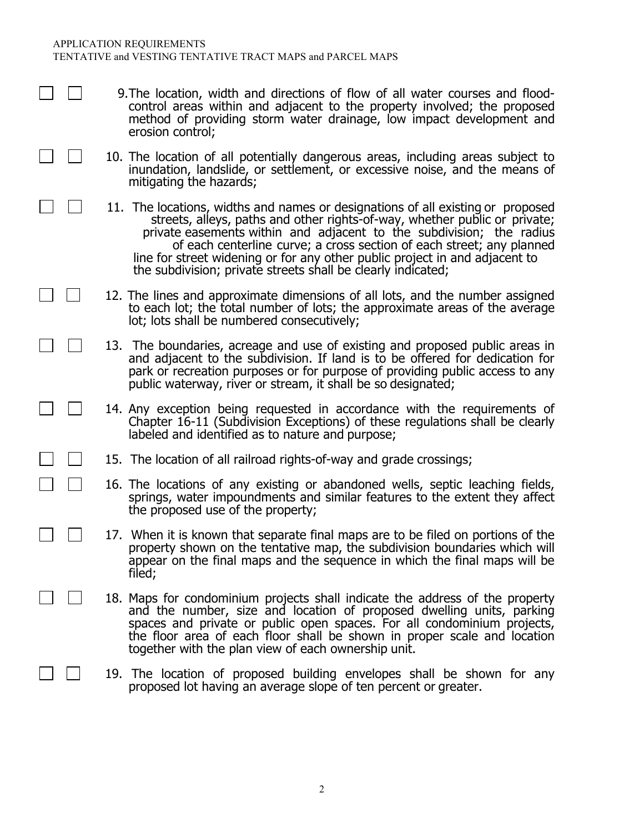- 9.The location, width and directions of flow of all water courses and floodcontrol areas within and adjacent to the property involved; the proposed method of providing storm water drainage, low impact development and erosion control;
- 10. The location of all potentially dangerous areas, including areas subject to inundation, landslide, or settlement, or excessive noise, and the means of mitigating the hazards;
- 11. The locations, widths and names or designations of all existing or proposed streets, alleys, paths and other rights-of-way, whether public or private; private easements within and adjacent to the subdivision; the radius of each centerline curve; a cross section of each street; any planned line for street widening or for any other public project in and adjacent to the subdivision; private streets shall be clearly indicated;
- 12. The lines and approximate dimensions of all lots, and the number assigned to each lot; the total number of lots; the approximate areas of the average lot; lots shall be numbered consecutively;
- 13. The boundaries, acreage and use of existing and proposed public areas in and adjacent to the subdivision. If land is to be offered for dedication for park or recreation purposes or for purpose of providing public access to any public waterway, river or stream, it shall be so designated;
- 14. Any exception being requested in accordance with the requirements of Chapter 16-11 (Subdivision Exceptions) of these regulations shall be clearly labeled and identified as to nature and purpose;
- 15. The location of all railroad rights-of-way and grade crossings;
	- 16. The locations of any existing or abandoned wells, septic leaching fields, springs, water impoundments and similar features to the extent they affect the proposed use of the property;
- 17. When it is known that separate final maps are to be filed on portions of the property shown on the tentative map, the subdivision boundaries which will appear on the final maps and the sequence in which the final maps will be filed;
	- 18. Maps for condominium projects shall indicate the address of the property and the number, size and location of proposed dwelling units, parking spaces and private or public open spaces. For all condominium projects, the floor area of each floor shall be shown in proper scale and location together with the plan view of each ownership unit.
	- 19. The location of proposed building envelopes shall be shown for any proposed lot having an average slope of ten percent or greater.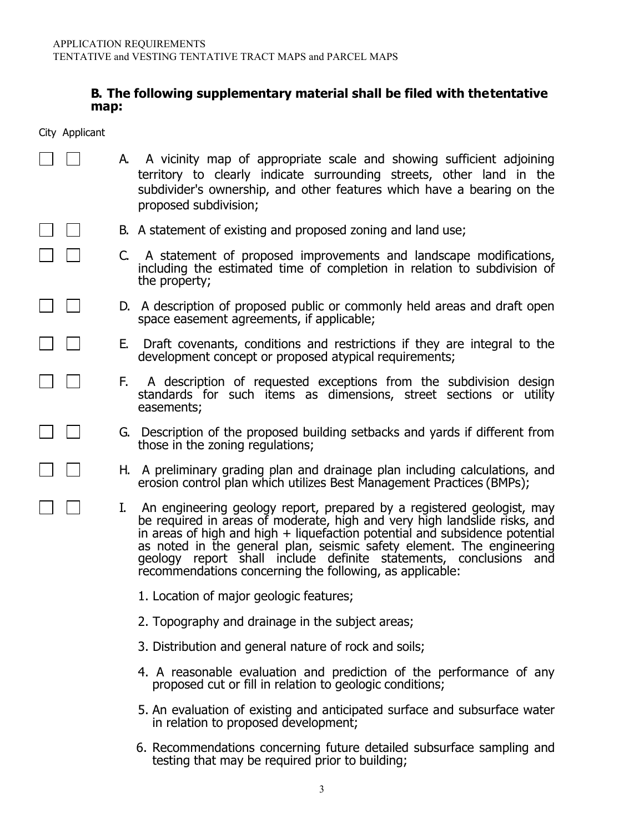#### **B. The following supplementary material shall be filed with thetentative map:**

City Applicant

 $\blacksquare$ 

 $\mathbf{L}$ 

 $\mathbf{L}$ 

 $\perp$ 

- A. A vicinity map of appropriate scale and showing sufficient adjoining territory to clearly indicate surrounding streets, other land in the subdivider's ownership, and other features which have a bearing on the proposed subdivision;
	- B. A statement of existing and proposed zoning and land use;
		- C. A statement of proposed improvements and landscape modifications, including the estimated time of completion in relation to subdivision of the property;
		- D. A description of proposed public or commonly held areas and draft open space easement agreements, if applicable;
		- E. Draft covenants, conditions and restrictions if they are integral to the development concept or proposed atypical requirements;
			- F. A description of requested exceptions from the subdivision design standards for such items as dimensions, street sections or utility easements;
			- G. Description of the proposed building setbacks and yards if different from those in the zoning regulations;
			- H. A preliminary grading plan and drainage plan including calculations, and erosion control plan which utilizes Best Management Practices (BMPs);
			- I. An engineering geology report, prepared by a registered geologist, may be required in areas of moderate, high and very high landslide risks, and in areas of high and high + liquefaction potential and subsidence potential as noted in the general plan, seismic safety element. The engineering geology report shall include definite statements, conclusions and recommendations concerning the following, as applicable:
				- 1. Location of major geologic features;
				- 2. Topography and drainage in the subject areas;
				- 3. Distribution and general nature of rock and soils;
				- 4. A reasonable evaluation and prediction of the performance of any proposed cut or fill in relation to geologic conditions;
				- 5. An evaluation of existing and anticipated surface and subsurface water in relation to proposed development;
				- 6. Recommendations concerning future detailed subsurface sampling and testing that may be required prior to building;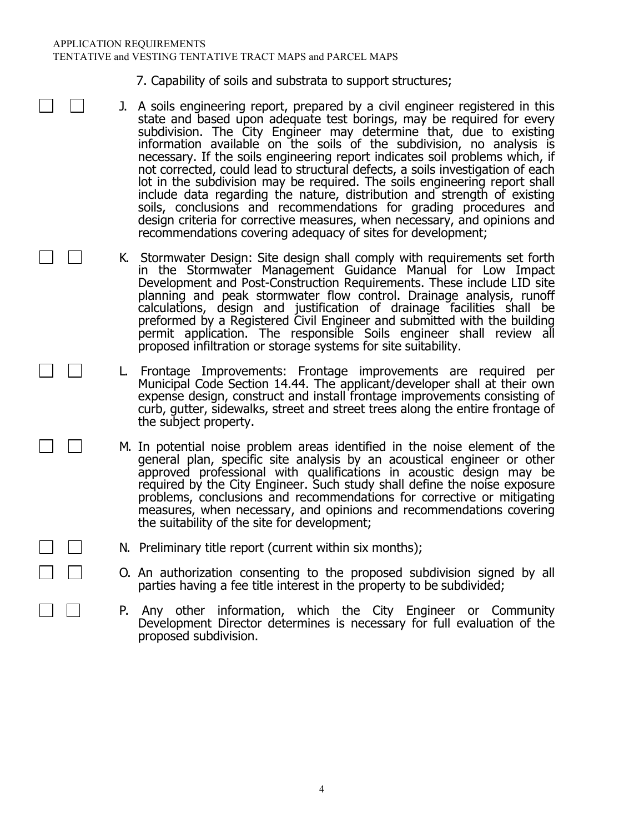#### APPLICATION REQUIREMENTS TENTATIVE and VESTING TENTATIVE TRACT MAPS and PARCEL MAPS

**Contract** 

- 7. Capability of soils and substrata to support structures;
- J. A soils engineering report, prepared by a civil engineer registered in this state and based upon adequate test borings, may be required for every subdivision. The City Engineer may determine that, due to existing information available on the soils of the subdivision, no analysis is necessary. If the soils engineering report indicates soil problems which, if not corrected, could lead to structural defects, a soils investigation of each lot in the subdivision may be required. The soils engineering report shall include data regarding the nature, distribution and strength of existing soils, conclusions and recommendations for grading procedures and design criteria for corrective measures, when necessary, and opinions and recommendations covering adequacy of sites for development;
	- K. Stormwater Design: Site design shall comply with requirements set forth in the Stormwater Management Guidance Manual for Low Impact Development and Post-Construction Requirements. These include LID site planning and peak stormwater flow control. Drainage analysis, runoff calculations, design and justification of drainage facilities shall be preformed by a Registered Civil Engineer and submitted with the building permit application. The responsible Soils engineer shall review all proposed infiltration or storage systems for site suitability.
	- L. Frontage Improvements: Frontage improvements are required per Municipal Code Section 14.44. The applicant/developer shall at their own expense design, construct and install frontage improvements consisting of curb, gutter, sidewalks, street and street trees along the entire frontage of the subject property.
	- M. In potential noise problem areas identified in the noise element of the general plan, specific site analysis by an acoustical engineer or other approved professional with qualifications in acoustic design may be required by the City Engineer. Such study shall define the noise exposure problems, conclusions and recommendations for corrective or mitigating measures, when necessary, and opinions and recommendations covering the suitability of the site for development;
	- N. Preliminary title report (current within six months);
	- O. An authorization consenting to the proposed subdivision signed by all parties having a fee title interest in the property to be subdivided;
	- P. Any other information, which the City Engineer or Community Development Director determines is necessary for full evaluation of the proposed subdivision.